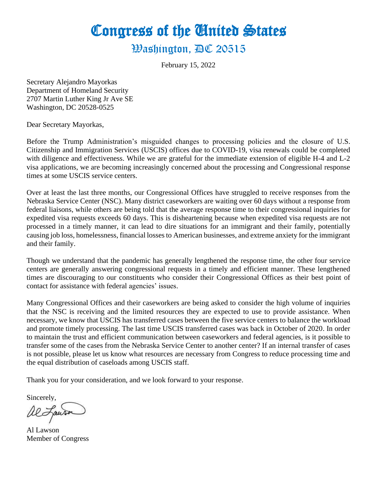Congress of the United States

Washington, AC 20515

February 15, 2022

Secretary Alejandro Mayorkas Department of Homeland Security 2707 Martin Luther King Jr Ave SE Washington, DC 20528-0525

Dear Secretary Mayorkas,

Before the Trump Administration's misguided changes to processing policies and the closure of U.S. Citizenship and Immigration Services (USCIS) offices due to COVID-19, visa renewals could be completed with diligence and effectiveness. While we are grateful for the immediate extension of eligible H-4 and L-2 visa applications, we are becoming increasingly concerned about the processing and Congressional response times at some USCIS service centers.

Over at least the last three months, our Congressional Offices have struggled to receive responses from the Nebraska Service Center (NSC). Many district caseworkers are waiting over 60 days without a response from federal liaisons, while others are being told that the average response time to their congressional inquiries for expedited visa requests exceeds 60 days. This is disheartening because when expedited visa requests are not processed in a timely manner, it can lead to dire situations for an immigrant and their family, potentially causing job loss, homelessness, financial losses to American businesses, and extreme anxiety for the immigrant and their family.

Though we understand that the pandemic has generally lengthened the response time, the other four service centers are generally answering congressional requests in a timely and efficient manner. These lengthened times are discouraging to our constituents who consider their Congressional Offices as their best point of contact for assistance with federal agencies' issues.

Many Congressional Offices and their caseworkers are being asked to consider the high volume of inquiries that the NSC is receiving and the limited resources they are expected to use to provide assistance. When necessary, we know that USCIS has transferred cases between the five service centers to balance the workload and promote timely processing. The last time USCIS transferred cases was back in October of 2020. In order to maintain the trust and efficient communication between caseworkers and federal agencies, is it possible to transfer some of the cases from the Nebraska Service Center to another center? If an internal transfer of cases is not possible, please let us know what resources are necessary from Congress to reduce processing time and the equal distribution of caseloads among USCIS staff.

Thank you for your consideration, and we look forward to your response.

Sincerely,

Al Lawson

Al Lawson Member of Congress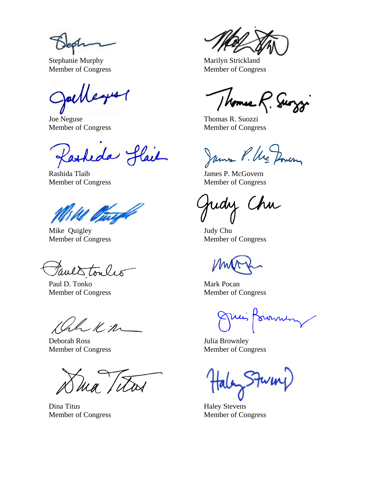Stephanie Murphy Marilyn Strickland

Joe Neguse Thomas R. Suozzi Member of Congress Member of Congress

Reda flair  $\overline{a}$ 

Rashida Tlaib James P. McGovern Member of Congress Member of Congress

Mike Quigley **Judy Chu** 

taves toules

Paul D. Tonko Mark Pocan Member of Congress Member of Congress

Sh Kn

Deborah Ross Julia Brownley Member of Congress Member of Congress

 $\mu$ a (Tros

Dina Titus Haley Stevens Member of Congress Member of Congress

Member of Congress Member of Congress

Thomas R. Suozzi

James P. Ure Dowen  $\blacksquare$  Tlaib James P. McGovernor,  $\blacksquare$ 

Mike duy Chu

Member of Congress Member of Congress

Arcis Poronne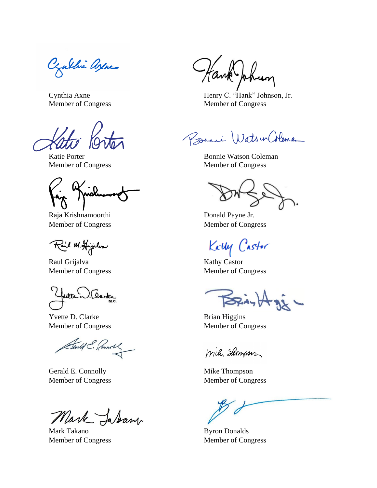Czuthi Azne

Kato<sup>:</sup> Porter Bonnie WatsonColeman

Raja Krishnamoorthi Donald Payne Jr. Member of Congress Member of Congress

Rail W. Hijalva

Raul Grijalva Kathy Castor Member of Congress Member of Congress

Yvette D. Clarke Brian Higgins

ember of Congress<br>Cleated E. Commonly Miles Showson

Gerald E. Connolly **Mike Thompson** Member of Congress Member of Congress

Mark Jaban

Mark Takano Byron Donalds

Cynthia Axne Henry C. "Hank" Johnson, Jr. Member of Congress Member of Congress

Katie Porter Bonnie Watson Coleman Member of Congress Member of Congress

Katie Porter<br>
Member of Congress<br>
Raja Krishnamoorthi Donald Payne Jr.

Katly Castor

Yvete D. Clarke

Member of Congress Member of Congress

Member of Congress Member of Congress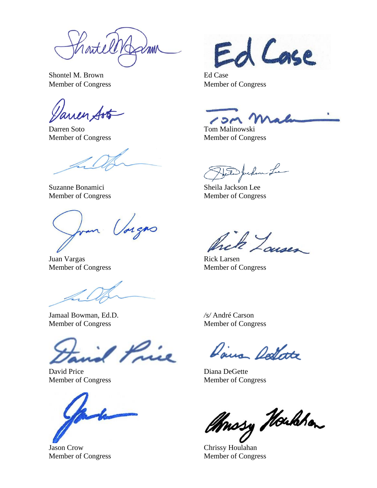iartell MW

Shontel M. Brown Ed Case

arren Art

Darren Soto Tom Malinowski

Suzanne Bonamici Sheila Jackson Lee Member of Congress Member of Congress

han Vorgas

Juan Vargas Rick Larsen

Jamaal Bowman, Ed.D. */s/* André Carson Member of Congress Member of Congress

Price

David Price Diana DeGette

Ed Case

Member of Congress Member of Congress

 $13M$ 

Member of Congress Member of Congress

referente

hik Lausen

Member of Congress Member of Congress

Daira Doctorts

Member of Congress Member of Congress

Jason Crow Chrissy Houlahan

Member of Congress Member of Congress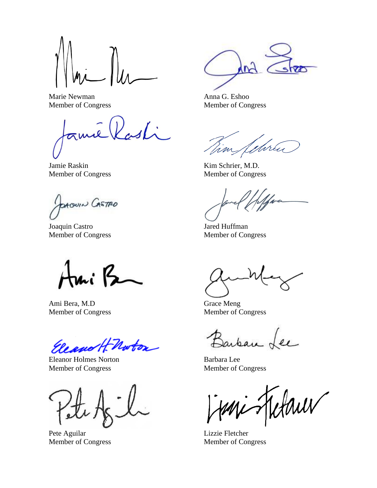Marie Newman **Anna G. Eshoo** Member of Congress Member of Congress

ame

Jamie Raskin Kim Schrier, M.D. Member of Congress Member of Congress

**PAQUIN CASTRO** 

Joaquin Castro Jared Huffman

tmi B

Ami Bera, M.D Grace Meng Member of Congress Member of Congress

Eleano H Noton

Eleanor Holmes Norton Barbara Lee Member of Congress Member of Congress

Pete Aguilar Lizzie Fletcher

m **Van** 

Vim Jehren

Member of Congress Member of Congress

Barban Lee

Hetaur

Member of Congress Member of Congress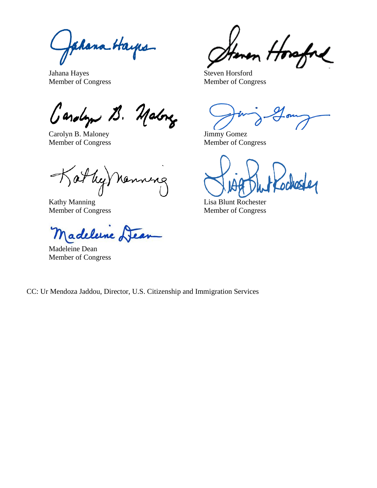ahana Hayps

Jahana Hayes Steven Horsford

*Carolyn* B. Maloney *Jimmy Gomez* 

Carolyn B. Maloney Jimmy Gomez Member of Congress Member of Congress

Kathy nanning

Madelune Dear

Madeleine Dean Member of Congress

 $\blacktriangleright$ 

Member of Congress Member of Congress

Kathy Manning Lisa Blunt Rochester Member of Congress Member of Congress

CC: Ur Mendoza Jaddou, Director, U.S. Citizenship and Immigration Services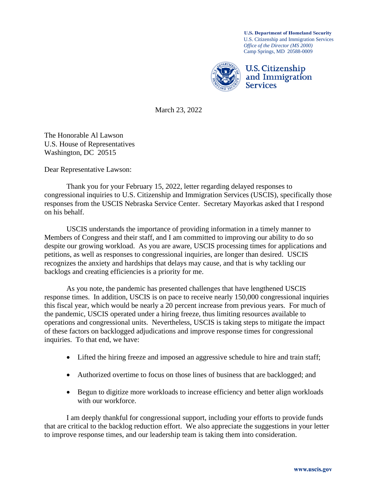U.S. Citizenship and Immigration Services *Office of the Director (MS 2000)* Camp Springs, MD 20588-0009 **U.S. Department of Homeland Security** 



March 23, 2022

The Honorable Al Lawson U.S. House of Representatives Washington, DC 20515

Dear Representative Lawson:

Thank you for your February 15, 2022, letter regarding delayed responses to congressional inquiries to U.S. Citizenship and Immigration Services (USCIS), specifically those responses from the USCIS Nebraska Service Center. Secretary Mayorkas asked that I respond on his behalf.

USCIS understands the importance of providing information in a timely manner to Members of Congress and their staff, and I am committed to improving our ability to do so despite our growing workload. As you are aware, USCIS processing times for applications and petitions, as well as responses to congressional inquiries, are longer than desired. USCIS recognizes the anxiety and hardships that delays may cause, and that is why tackling our backlogs and creating efficiencies is a priority for me.

As you note, the pandemic has presented challenges that have lengthened USCIS response times. In addition, USCIS is on pace to receive nearly 150,000 congressional inquiries this fiscal year, which would be nearly a 20 percent increase from previous years. For much of the pandemic, USCIS operated under a hiring freeze, thus limiting resources available to operations and congressional units. Nevertheless, USCIS is taking steps to mitigate the impact of these factors on backlogged adjudications and improve response times for congressional inquiries. To that end, we have:

- Lifted the hiring freeze and imposed an aggressive schedule to hire and train staff;
- Authorized overtime to focus on those lines of business that are backlogged; and
- Begun to digitize more workloads to increase efficiency and better align workloads with our workforce.

I am deeply thankful for congressional support, including your efforts to provide funds that are critical to the backlog reduction effort. We also appreciate the suggestions in your letter to improve response times, and our leadership team is taking them into consideration.